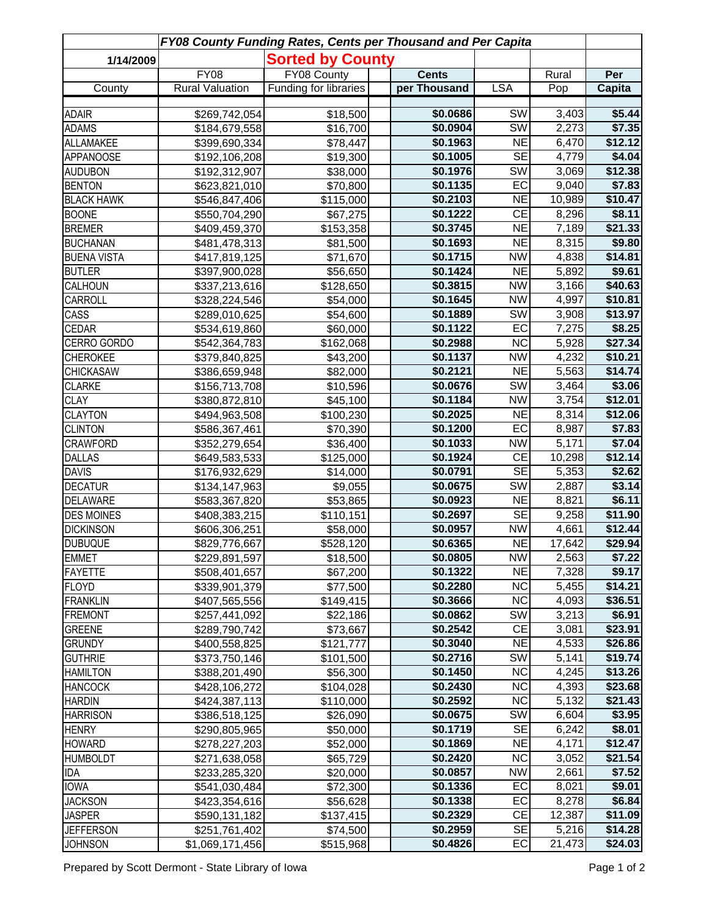| FY08 County Funding Rates, Cents per Thousand and Per Capita |                                |                              |  |                      |                        |                |                  |  |  |  |  |
|--------------------------------------------------------------|--------------------------------|------------------------------|--|----------------------|------------------------|----------------|------------------|--|--|--|--|
| 1/14/2009                                                    |                                | <b>Sorted by County</b>      |  |                      |                        |                |                  |  |  |  |  |
|                                                              | <b>FY08</b>                    | FY08 County                  |  | <b>Cents</b>         |                        | Rural          | Per              |  |  |  |  |
| County                                                       | <b>Rural Valuation</b>         | <b>Funding for libraries</b> |  | per Thousand         | <b>LSA</b>             | Pop            | Capita           |  |  |  |  |
|                                                              |                                |                              |  |                      | <b>SW</b>              |                |                  |  |  |  |  |
| <b>ADAIR</b>                                                 | \$269,742,054                  | \$18,500<br>\$16,700         |  | \$0.0686<br>\$0.0904 | SW                     | 3,403<br>2,273 | \$5.44<br>\$7.35 |  |  |  |  |
| <b>ADAMS</b><br><b>ALLAMAKEE</b>                             | \$184,679,558                  |                              |  | \$0.1963             | <b>NE</b>              | 6,470          | \$12.12          |  |  |  |  |
| <b>APPANOOSE</b>                                             | \$399,690,334                  | \$78,447<br>\$19,300         |  | \$0.1005             | <b>SE</b>              | 4,779          | \$4.04           |  |  |  |  |
| <b>AUDUBON</b>                                               | \$192,106,208<br>\$192,312,907 | \$38,000                     |  | \$0.1976             | SW                     | 3,069          | \$12.38          |  |  |  |  |
| <b>BENTON</b>                                                | \$623,821,010                  | \$70,800                     |  | \$0.1135             | EC                     | 9,040          | \$7.83           |  |  |  |  |
| <b>BLACK HAWK</b>                                            | \$546,847,406                  | \$115,000                    |  | \$0.2103             | $\overline{NE}$        | 10,989         | \$10.47          |  |  |  |  |
| <b>BOONE</b>                                                 | \$550,704,290                  | \$67,275                     |  | \$0.1222             | $\overline{CE}$        | 8,296          | \$8.11           |  |  |  |  |
| <b>BREMER</b>                                                | \$409,459,370                  | \$153,358                    |  | \$0.3745             | $\overline{NE}$        | 7,189          | \$21.33          |  |  |  |  |
| <b>BUCHANAN</b>                                              | \$481,478,313                  | \$81,500                     |  | \$0.1693             | <b>NE</b>              | 8,315          | \$9.80           |  |  |  |  |
| <b>BUENA VISTA</b>                                           | \$417,819,125                  | \$71,670                     |  | \$0.1715             | <b>NW</b>              | 4,838          | \$14.81          |  |  |  |  |
| <b>BUTLER</b>                                                | \$397,900,028                  | \$56,650                     |  | \$0.1424             | <b>NE</b>              | 5,892          | \$9.61           |  |  |  |  |
| CALHOUN                                                      | \$337,213,616                  | \$128,650                    |  | \$0.3815             | <b>NW</b>              | 3,166          | \$40.63          |  |  |  |  |
| <b>CARROLL</b>                                               | \$328,224,546                  | \$54,000                     |  | \$0.1645             | <b>NW</b>              | 4,997          | \$10.81          |  |  |  |  |
| CASS                                                         | \$289,010,625                  | \$54,600                     |  | \$0.1889             | <b>SW</b>              | 3,908          | \$13.97          |  |  |  |  |
| <b>CEDAR</b>                                                 | \$534,619,860                  | \$60,000                     |  | \$0.1122             | EC                     | 7,275          | \$8.25           |  |  |  |  |
| CERRO GORDO                                                  | \$542,364,783                  | \$162,068                    |  | \$0.2988             | NC                     | 5,928          | \$27.34          |  |  |  |  |
| <b>CHEROKEE</b>                                              | \$379,840,825                  | \$43,200                     |  | \$0.1137             | $\overline{\text{NW}}$ | 4,232          | \$10.21          |  |  |  |  |
| <b>CHICKASAW</b>                                             | \$386,659,948                  | \$82,000                     |  | \$0.2121             | NE                     | 5,563          | \$14.74          |  |  |  |  |
| <b>CLARKE</b>                                                | \$156,713,708                  | \$10,596                     |  | \$0.0676             | $\overline{\text{SW}}$ | 3,464          | \$3.06           |  |  |  |  |
| <b>CLAY</b>                                                  | \$380,872,810                  | \$45,100                     |  | \$0.1184             | $\overline{\text{NW}}$ | 3,754          | \$12.01          |  |  |  |  |
| <b>CLAYTON</b>                                               | \$494,963,508                  | \$100,230                    |  | \$0.2025             | NE                     | 8,314          | \$12.06          |  |  |  |  |
| <b>CLINTON</b>                                               | \$586,367,461                  | \$70,390                     |  | \$0.1200             | EC                     | 8,987          | \$7.83           |  |  |  |  |
| <b>CRAWFORD</b>                                              | \$352,279,654                  | \$36,400                     |  | \$0.1033             | $\overline{\text{NW}}$ | 5,171          | \$7.04           |  |  |  |  |
| <b>DALLAS</b>                                                | \$649,583,533                  | \$125,000                    |  | \$0.1924             | CE                     | 10,298         | \$12.14          |  |  |  |  |
| <b>DAVIS</b>                                                 | \$176,932,629                  | \$14,000                     |  | \$0.0791             | <b>SE</b>              | 5,353          | \$2.62           |  |  |  |  |
| <b>DECATUR</b>                                               | \$134,147,963                  | \$9,055                      |  | \$0.0675             | <b>SW</b>              | 2,887          | \$3.14           |  |  |  |  |
| <b>DELAWARE</b>                                              | \$583,367,820                  | \$53,865                     |  | \$0.0923             | $\overline{\sf NE}$    | 8,821          | \$6.11           |  |  |  |  |
| <b>DES MOINES</b>                                            | \$408,383,215                  | \$110,151                    |  | \$0.2697             | <b>SE</b>              | 9,258          | \$11.90          |  |  |  |  |
| <b>DICKINSON</b>                                             | \$606,306,251                  | \$58,000                     |  | \$0.0957             | <b>NW</b>              | 4,661          | \$12.44          |  |  |  |  |
| <b>DUBUQUE</b>                                               | \$829,776,667                  | \$528,120                    |  | \$0.6365             | <b>NE</b>              | 17,642         | \$29.94          |  |  |  |  |
| <b>EMMET</b>                                                 | \$229,891,597                  | \$18,500                     |  | \$0.0805             | <b>NW</b>              | 2,563          | \$7.22           |  |  |  |  |
| <b>FAYETTE</b>                                               | \$508,401,657                  | \$67,200                     |  | \$0.1322             | <b>NE</b>              | 7,328          | \$9.17           |  |  |  |  |
| <b>FLOYD</b>                                                 | \$339,901,379                  | \$77,500                     |  | \$0.2280             | <b>NC</b>              | 5,455          | \$14.21          |  |  |  |  |
| <b>FRANKLIN</b>                                              | \$407,565,556                  | \$149,415                    |  | \$0.3666             | <b>NC</b>              | 4,093          | \$36.51          |  |  |  |  |
| <b>FREMONT</b>                                               | \$257,441,092                  | \$22,186                     |  | \$0.0862             | SW                     | 3,213          | \$6.91           |  |  |  |  |
| <b>GREENE</b>                                                | \$289,790,742                  | \$73,667                     |  | \$0.2542             | <b>CE</b>              | 3,081          | \$23.91          |  |  |  |  |
| <b>GRUNDY</b>                                                | \$400,558,825                  | \$121,777                    |  | \$0.3040             | <b>NE</b>              | 4,533          | \$26.86          |  |  |  |  |
| <b>GUTHRIE</b>                                               | \$373,750,146                  | \$101,500                    |  | \$0.2716             | SW                     | 5,141          | \$19.74          |  |  |  |  |
| <b>HAMILTON</b>                                              | \$388,201,490                  | \$56,300                     |  | \$0.1450             | <b>NC</b>              | 4,245          | \$13.26          |  |  |  |  |
| <b>HANCOCK</b>                                               | \$428,106,272                  | \$104,028                    |  | \$0.2430             | <b>NC</b>              | 4,393          | \$23.68          |  |  |  |  |
| <b>HARDIN</b>                                                | \$424,387,113                  | \$110,000                    |  | \$0.2592             | <b>NC</b>              | 5,132          | \$21.43          |  |  |  |  |
| <b>HARRISON</b>                                              | \$386,518,125                  | \$26,090                     |  | \$0.0675             | SW                     | 6,604          | \$3.95           |  |  |  |  |
| <b>HENRY</b>                                                 | \$290,805,965                  | \$50,000                     |  | \$0.1719             | <b>SE</b>              | 6,242          | \$8.01           |  |  |  |  |
| <b>HOWARD</b>                                                | \$278,227,203                  | \$52,000                     |  | \$0.1869             | <b>NE</b>              | 4,171          | \$12.47          |  |  |  |  |
| <b>HUMBOLDT</b>                                              | \$271,638,058                  | \$65,729                     |  | \$0.2420             | <b>NC</b>              | 3,052          | \$21.54          |  |  |  |  |
| IDA                                                          | \$233,285,320                  | \$20,000                     |  | \$0.0857             | <b>NW</b>              | 2,661          | \$7.52           |  |  |  |  |
| <b>IOWA</b>                                                  | \$541,030,484                  | \$72,300                     |  | \$0.1336             | EC                     | 8,021          | \$9.01           |  |  |  |  |
| <b>JACKSON</b>                                               | \$423,354,616                  | \$56,628                     |  | \$0.1338             | EC                     | 8,278          | \$6.84           |  |  |  |  |
| <b>JASPER</b>                                                | \$590,131,182                  | \$137,415                    |  | \$0.2329             | CE                     | 12,387         | \$11.09          |  |  |  |  |
| <b>JEFFERSON</b>                                             | \$251,761,402                  | \$74,500                     |  | \$0.2959             | SE                     | 5,216          | \$14.28          |  |  |  |  |
| <b>JOHNSON</b>                                               | \$1,069,171,456                | \$515,968                    |  | \$0.4826             | EC                     | 21,473         | \$24.03          |  |  |  |  |